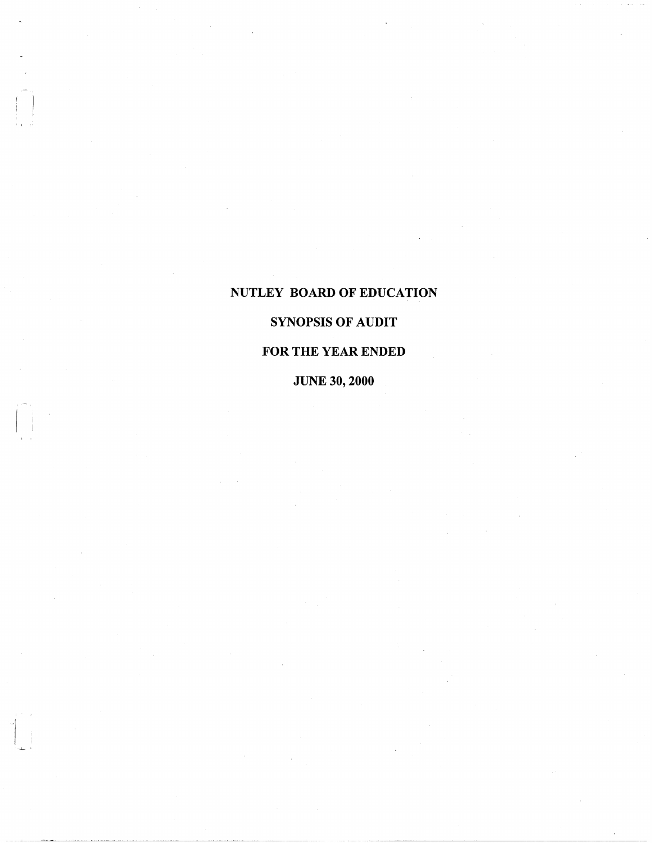# NUTLEY BOARD OF EDUCATION

 $\mathbf{I}$ 

 $\mathbf{i}$  is in --.L... ,J

# SYNOPSIS OF AUDIT

# FOR THE YEAR ENDED

JUNE 30, 2000

··-~"·--···--·-----------------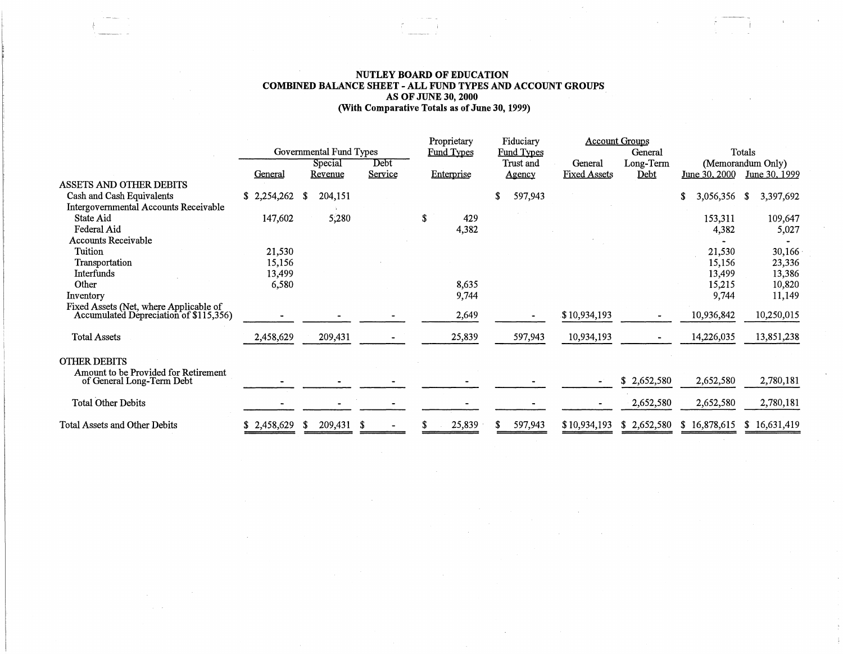## **NUTLEY BOARD OF EDUCATION COMBINED BALANCE SHEET -ALL FUND TYPES AND ACCOUNT GROUPS AS OF JUNE 30, 2000 (With Comparative Totals as of June 30, 1999)**

|                                                                                  | Governmental Fund Types |                    |                 | Proprietary<br>Fiduciary<br><b>Fund Types</b> |               | <b>Account Groups</b>          |             | Totals            |                   |  |
|----------------------------------------------------------------------------------|-------------------------|--------------------|-----------------|-----------------------------------------------|---------------|--------------------------------|-------------|-------------------|-------------------|--|
|                                                                                  |                         |                    |                 | Fund Types<br>Trust and                       |               |                                | General     | (Memorandum Only) |                   |  |
|                                                                                  | General                 | Special<br>Revenue | Debt<br>Service | Enterprise                                    |               | General<br><b>Fixed Assets</b> | Long-Term   | June 30, 2000     | June 30, 1999     |  |
| ASSETS AND OTHER DEBITS                                                          |                         |                    |                 |                                               | <u>Agency</u> |                                | <u>Debt</u> |                   |                   |  |
| Cash and Cash Equivalents                                                        | \$2,254,262             | 204,151<br>-S      |                 |                                               | 597,943       |                                |             | \$<br>3,056,356   | 3,397,692<br>- SS |  |
| <b>Intergovernmental Accounts Receivable</b>                                     |                         |                    |                 |                                               |               |                                |             |                   |                   |  |
| State Aid                                                                        | 147,602                 | 5,280              |                 | S<br>429                                      |               |                                |             | 153,311           | 109,647           |  |
| Federal Aid                                                                      |                         |                    |                 | 4,382                                         |               |                                |             | 4,382             | 5,027             |  |
| Accounts Receivable                                                              |                         |                    |                 |                                               |               |                                |             |                   |                   |  |
| Tuition                                                                          | 21,530                  |                    |                 |                                               |               |                                |             | 21,530            | 30,166            |  |
| Transportation                                                                   | 15,156                  |                    |                 |                                               |               |                                |             | 15,156            | 23,336            |  |
| <b>Interfunds</b>                                                                | 13,499                  |                    |                 |                                               |               |                                |             | 13,499            | 13,386            |  |
| Other                                                                            | 6,580                   |                    |                 | 8,635                                         |               |                                |             | 15,215            | 10,820            |  |
| Inventory                                                                        |                         |                    |                 | 9,744                                         |               |                                |             | 9,744             | 11,149            |  |
| Fixed Assets (Net, where Applicable of<br>Accumulated Depreciation of \$115,356) |                         |                    |                 | 2,649                                         |               | \$10,934,193                   |             | 10,936,842        | 10,250,015        |  |
| <b>Total Assets</b>                                                              | 2,458,629               | 209,431            |                 | 25,839                                        | 597,943       | 10,934,193                     |             | 14,226,035        | 13,851,238        |  |
| <b>OTHER DEBITS</b>                                                              |                         |                    |                 |                                               |               |                                |             |                   |                   |  |
| Amount to be Provided for Retirement<br>of General Long-Term Debt                |                         |                    |                 |                                               |               | $\blacksquare$                 | \$2,652,580 | 2,652,580         | 2,780,181         |  |
| <b>Total Other Debits</b>                                                        |                         |                    |                 |                                               |               |                                | 2,652,580   | 2,652,580         | 2,780,181         |  |
| Total Assets and Other Debits                                                    | \$2,458,629             | 209,431<br>-8      | S               | 25,839                                        | 597,943       | \$10,934,193                   | \$2,652,580 | \$16,878,615      | \$16,631,419      |  |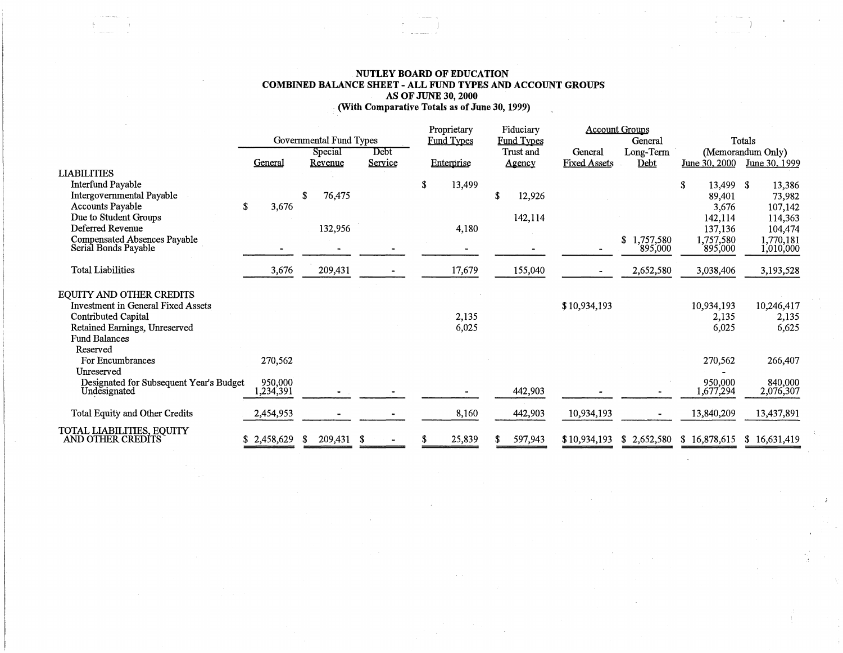#### **NUTLEY BOARD OF EDUCATION COMBINED BALANCE SHEET** - **ALL FUND TYPES AND ACCOUNT GROUPS AS OF JUNE 30, 2000**  .· **(With Comparative Totals as of June 30, 1999)**   $\sim 1$

|                                                                                                                                                              |                         |                          |         | Proprietary       | Fiduciary         |                     | <b>Account Groups</b>    |                              |                              |
|--------------------------------------------------------------------------------------------------------------------------------------------------------------|-------------------------|--------------------------|---------|-------------------|-------------------|---------------------|--------------------------|------------------------------|------------------------------|
|                                                                                                                                                              | Governmental Fund Types |                          |         | <b>Fund Types</b> | <b>Fund Types</b> |                     | General                  |                              | Totals                       |
|                                                                                                                                                              | Special                 |                          | Debt    |                   | Trust and         | General             | Long-Term                | (Memorandum Only)            |                              |
|                                                                                                                                                              | General                 | Revenue                  | Service | Enterprise        | Agency            | <b>Fixed Assets</b> | Debt                     | June 30, 2000                | June 30, 1999                |
| <b>LIABILITIES</b>                                                                                                                                           |                         |                          |         |                   |                   |                     |                          |                              |                              |
| <b>Interfund Payable</b>                                                                                                                                     |                         |                          |         | 13,499<br>\$      |                   |                     |                          | 13,499 \$<br>\$              | 13,386                       |
| Intergovernmental Payable                                                                                                                                    |                         | 76,475<br>S              |         |                   | 12,926            |                     |                          | 89,401                       | 73,982                       |
| <b>Accounts Payable</b>                                                                                                                                      | 3,676<br>£.             |                          |         |                   |                   |                     |                          | 3,676                        | 107,142                      |
| Due to Student Groups                                                                                                                                        |                         |                          |         |                   | 142,114           |                     |                          | 142,114                      | 114,363                      |
| Deferred Revenue                                                                                                                                             |                         | 132,956                  |         | 4,180             |                   |                     |                          | 137,136                      | 104,474                      |
| <b>Compensated Absences Payable</b><br>Serial Bonds Payable                                                                                                  |                         | $\overline{\phantom{0}}$ |         |                   |                   |                     | \$1,757,580<br>895,000   | 1,757,580<br>895,000         | 1,770,181<br>1,010,000       |
| <b>Total Liabilities</b>                                                                                                                                     | 3,676                   | 209,431                  |         | 17,679            | 155,040           | $\blacksquare$      | 2,652,580                | 3,038,406                    | 3,193,528                    |
| EQUITY AND OTHER CREDITS<br><b>Investment in General Fixed Assets</b><br><b>Contributed Capital</b><br>Retained Earnings, Unreserved<br><b>Fund Balances</b> |                         |                          |         | 2,135<br>6,025    |                   | \$10,934,193        |                          | 10,934,193<br>2,135<br>6,025 | 10,246,417<br>2,135<br>6,625 |
| Reserved<br>For Encumbrances                                                                                                                                 | 270,562                 |                          |         |                   |                   |                     |                          | 270,562                      | 266,407                      |
| Unreserved                                                                                                                                                   |                         |                          |         |                   |                   |                     |                          |                              |                              |
| Designated for Subsequent Year's Budget<br>Undesignated                                                                                                      | 950,000<br>1,234,391    |                          |         |                   | 442,903           |                     |                          | 950,000<br>1,677,294         | 840,000<br>2,076,307         |
| Total Equity and Other Credits                                                                                                                               | 2,454,953               |                          |         | 8,160             | 442,903           | 10,934,193          | $\overline{\phantom{a}}$ | 13,840,209                   | 13,437,891                   |
| TOTAL LIABILITIES, EQUITY<br>AND OTHER CREDITS                                                                                                               | \$2,458,629             | 209,431                  | -S      | 25,839            | 597,943           | \$10,934,193        | \$2,652,580              | \$16,878,615                 | \$16,631,419                 |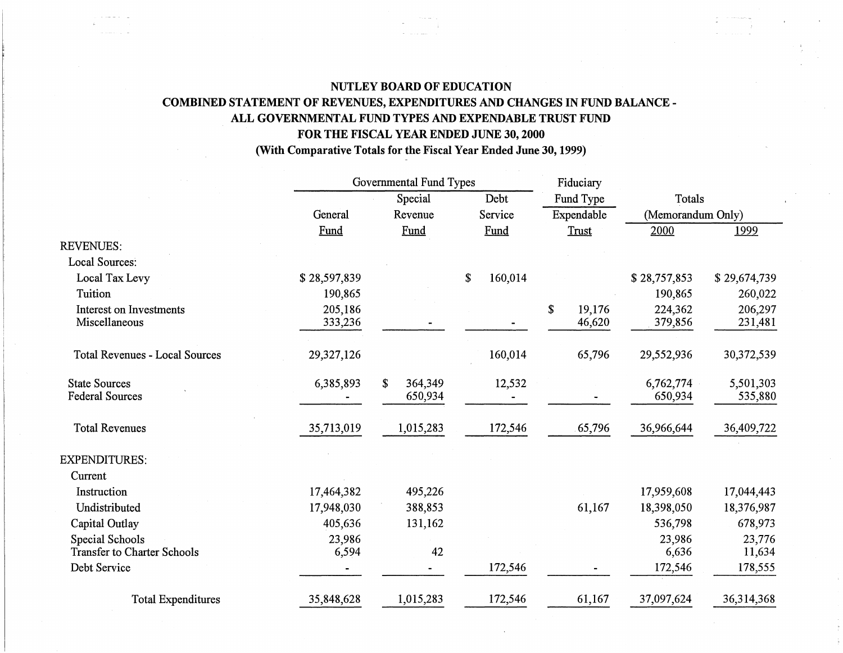# **NUTLEY BOARD OF EDUCATION COMBINED STATEMENT OF REVENUES, EXPENDITURES AND CHANGES IN FUND BALANCE** - ALL GOVERNMENTAL FUND TYPES AND EXPENDABLE TRUST FUND **FOR THE FISCAL YEAR ENDED JUNE 30, 2000**

**(With Comparative Totals for the Fiscal Year Ended June 30, 1999)** 

|                                                       |                    | Governmental Fund Types  |               | Fiduciary              |                      |                      |
|-------------------------------------------------------|--------------------|--------------------------|---------------|------------------------|----------------------|----------------------|
|                                                       |                    | Special                  | Debt          | Fund Type              | <b>Totals</b>        |                      |
|                                                       | General            | Revenue                  | Service       | Expendable             | (Memorandum Only)    |                      |
|                                                       | Fund               | Fund                     | Fund          | Trust                  | 2000                 | 1999                 |
| <b>REVENUES:</b>                                      |                    |                          |               |                        |                      |                      |
| <b>Local Sources:</b>                                 |                    |                          |               |                        |                      |                      |
| Local Tax Levy                                        | \$28,597,839       |                          | \$<br>160,014 |                        | \$28,757,853         | \$29,674,739         |
| Tuition                                               | 190,865            |                          |               |                        | 190,865              | 260,022              |
| Interest on Investments<br>Miscellaneous              | 205,186<br>333,236 |                          |               | \$<br>19,176<br>46,620 | 224,362<br>379,856   | 206,297<br>231,481   |
| <b>Total Revenues - Local Sources</b>                 | 29,327,126         |                          | 160,014       | 65,796                 | 29,552,936           | 30,372,539           |
| <b>State Sources</b><br><b>Federal Sources</b>        | 6,385,893          | 364,349<br>\$<br>650,934 | 12,532        |                        | 6,762,774<br>650,934 | 5,501,303<br>535,880 |
| <b>Total Revenues</b>                                 | 35,713,019         | 1,015,283                | 172,546       | 65,796                 | 36,966,644           | 36,409,722           |
| <b>EXPENDITURES:</b>                                  |                    |                          |               |                        |                      |                      |
| Current                                               |                    |                          |               |                        |                      |                      |
| Instruction                                           | 17,464,382         | 495,226                  |               |                        | 17,959,608           | 17,044,443           |
| Undistributed                                         | 17,948,030         | 388,853                  |               | 61,167                 | 18,398,050           | 18,376,987           |
| Capital Outlay                                        | 405,636            | 131,162                  |               |                        | 536,798              | 678,973              |
| Special Schools<br><b>Transfer to Charter Schools</b> | 23,986<br>6,594    | 42                       |               |                        | 23,986<br>6,636      | 23,776<br>11,634     |
| Debt Service                                          |                    |                          | 172,546       |                        | 172,546              | 178,555              |
| <b>Total Expenditures</b>                             | 35,848,628         | 1,015,283                | 172,546       | 61,167                 | 37,097,624           | 36,314,368           |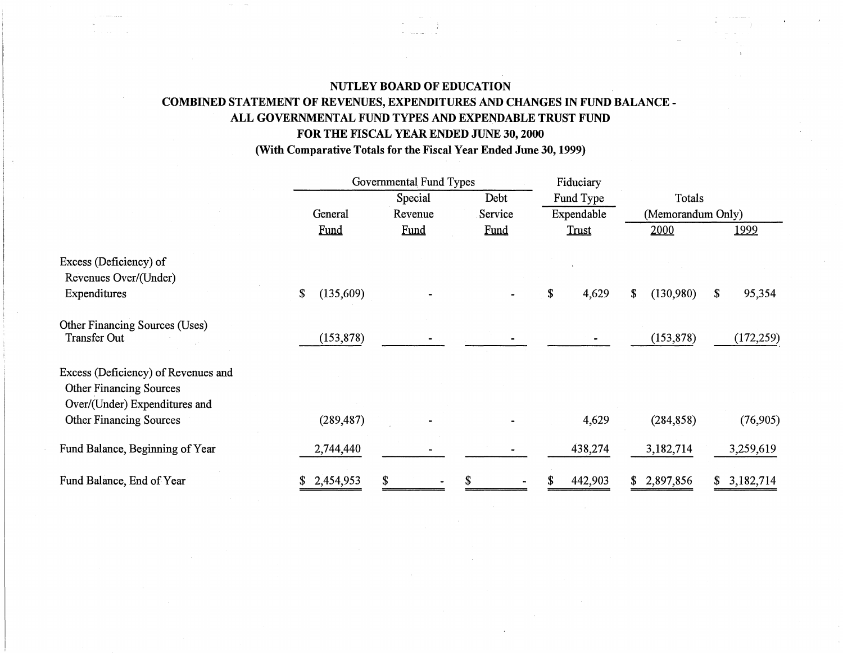# **NUTLEY BOARD OF EDUCATION COMBINED STATEMENT OF REVENUES, EXPENDITURES AND CHANGES IN FUND BALANCE** - ALL GOVERNMENTAL FUND TYPES AND EXPENDABLE TRUST FUND **FOR THE FISCAL YEAR ENDED JUNE 30, 2000 (With Comparative Totals for the Fiscal Year Ended June 30, 1999)**

|                                                                                                        |                 | Governmental Fund Types |         | Fiduciary   |                             |              |  |
|--------------------------------------------------------------------------------------------------------|-----------------|-------------------------|---------|-------------|-----------------------------|--------------|--|
|                                                                                                        |                 | Special                 | Debt    | Fund Type   | Totals<br>(Memorandum Only) |              |  |
|                                                                                                        | General         | Revenue                 | Service | Expendable  |                             |              |  |
|                                                                                                        | Fund            | <b>Fund</b>             | Fund    | Trust       | 2000                        | <u> 1999</u> |  |
| Excess (Deficiency) of<br>Revenues Over/(Under)                                                        |                 |                         |         |             |                             |              |  |
| Expenditures                                                                                           | (135,609)<br>\$ |                         |         | \$<br>4,629 | (130,980)<br>\$             | 95,354<br>\$ |  |
| Other Financing Sources (Uses)<br><b>Transfer Out</b>                                                  | (153, 878)      |                         |         |             | (153, 878)                  | (172, 259)   |  |
| Excess (Deficiency) of Revenues and<br><b>Other Financing Sources</b><br>Over/(Under) Expenditures and |                 |                         |         |             |                             |              |  |
| <b>Other Financing Sources</b>                                                                         | (289, 487)      |                         |         | 4,629       | (284, 858)                  | (76, 905)    |  |
| Fund Balance, Beginning of Year                                                                        | 2,744,440       |                         |         | 438,274     | 3,182,714                   | 3,259,619    |  |
| Fund Balance, End of Year                                                                              | \$2,454,953     | \$                      |         | 442,903     | 2,897,856<br>\$             | 3,182,714    |  |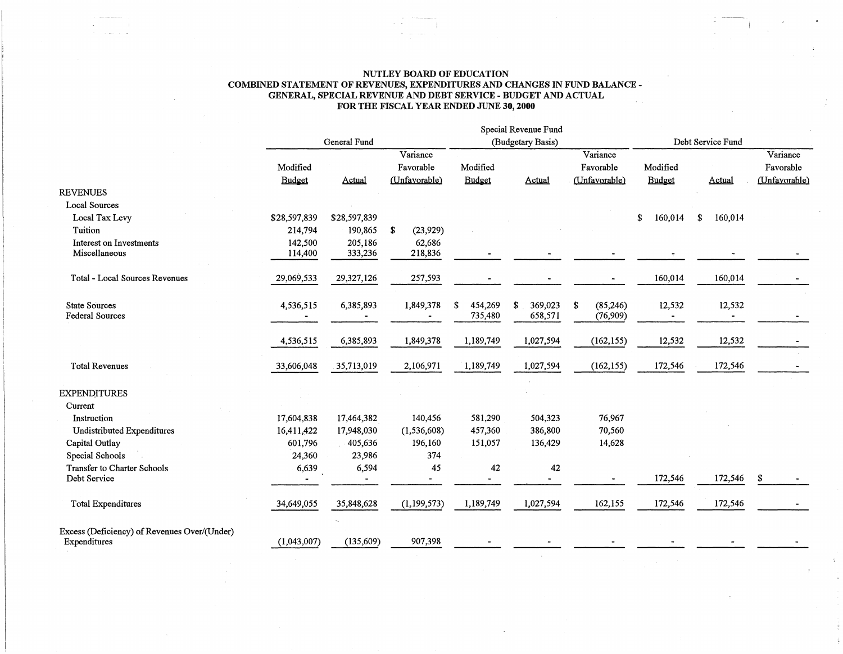#### NUTLEY BOARD OF EDUCATION COMBINED STATEMENT OF REVENUES, EXPENDITURES AND CHANGES IN FUND BALANCE - GENERAL, SPECIAL REVENUE AND DEBT SERVICE - BUDGET AND ACTUAL FOR THE FISCAL YEAR ENDED JUNE 30, 2000

|                                              |              |              |                          |                   | Special Revenue Fund |                 |                   |               |               |  |
|----------------------------------------------|--------------|--------------|--------------------------|-------------------|----------------------|-----------------|-------------------|---------------|---------------|--|
|                                              | General Fund |              |                          | (Budgetary Basis) |                      |                 | Debt Service Fund |               |               |  |
|                                              |              |              | Variance                 |                   |                      | Variance        |                   |               | Variance      |  |
|                                              | Modified     |              | Favorable                | Modified          |                      | Favorable       | Modified          |               | Favorable     |  |
|                                              | Budget       | Actual       | (Unfavorable)            | <b>Budget</b>     | Actual               | (Unfavorable)   | Budget            | Actual        | (Unfavorable) |  |
| <b>REVENUES</b>                              |              |              |                          |                   |                      |                 |                   |               |               |  |
| <b>Local Sources</b>                         |              |              |                          |                   |                      |                 |                   |               |               |  |
| Local Tax Levy                               | \$28,597,839 | \$28,597,839 |                          |                   |                      |                 | \$<br>160,014     | 160,014<br>\$ |               |  |
| Tuition                                      | 214,794      | 190,865      | S<br>(23, 929)           |                   |                      |                 |                   |               |               |  |
| <b>Interest on Investments</b>               | 142,500      | 205,186      | 62,686                   |                   |                      |                 |                   |               |               |  |
| Miscellaneous                                | 114,400      | 333,236      | 218,836                  |                   |                      |                 |                   |               |               |  |
|                                              |              |              |                          |                   |                      |                 |                   |               |               |  |
| Total - Local Sources Revenues               | 29,069,533   | 29,327,126   | 257,593                  |                   |                      |                 | 160,014           | 160,014       |               |  |
|                                              |              |              |                          |                   |                      |                 |                   |               |               |  |
| <b>State Sources</b>                         | 4,536,515    | 6,385,893    | 1,849,378                | S<br>454,269      | \$<br>369,023        | \$<br>(85, 246) | 12,532            | 12,532        |               |  |
| <b>Federal Sources</b>                       |              |              |                          | 735,480           | 658,571              | (76,909)        | $\blacksquare$    |               |               |  |
|                                              |              |              |                          |                   |                      |                 |                   |               |               |  |
|                                              | 4,536,515    | 6,385,893    | 1,849,378                | 1,189,749         | 1,027,594            | (162, 155)      | 12,532            | 12,532        |               |  |
|                                              |              |              |                          |                   |                      |                 |                   |               |               |  |
| <b>Total Revenues</b>                        | 33,606,048   | 35,713,019   | 2,106,971                | 1,189,749         | 1,027,594            | (162, 155)      | 172,546           | 172,546       |               |  |
| <b>EXPENDITURES</b>                          |              |              |                          |                   |                      |                 |                   |               |               |  |
| Current                                      |              |              |                          |                   |                      |                 |                   |               |               |  |
| Instruction                                  | 17,604,838   | 17,464,382   | 140,456                  | 581,290           | 504,323              | 76,967          |                   |               |               |  |
| Undistributed Expenditures                   | 16,411,422   | 17,948,030   | (1, 536, 608)            | 457,360           | 386,800              | 70,560          |                   |               |               |  |
| Capital Outlay                               | 601,796      | 405,636      | 196,160                  | 151,057           | 136,429              | 14,628          |                   |               |               |  |
| Special Schools                              | 24,360       | 23,986       | 374                      |                   |                      |                 |                   |               |               |  |
| Transfer to Charter Schools                  | 6,639        | 6,594        | 45                       | 42                | 42                   |                 |                   |               |               |  |
| Debt Service                                 |              |              | $\overline{\phantom{0}}$ |                   |                      |                 | 172,546           | 172,546       | S.            |  |
|                                              |              |              |                          |                   |                      |                 |                   |               |               |  |
| <b>Total Expenditures</b>                    | 34,649,055   | 35,848,628   | (1, 199, 573)            | 1,189,749         | 1,027,594            | 162,155         | 172,546           | 172,546       |               |  |
|                                              |              |              |                          |                   |                      |                 |                   |               |               |  |
| Excess (Deficiency) of Revenues Over/(Under) |              |              |                          |                   |                      |                 |                   |               |               |  |
| Expenditures                                 | (1,043,007)  | (135, 609)   | 907,398                  |                   |                      |                 |                   |               |               |  |
|                                              |              |              |                          |                   |                      |                 |                   |               |               |  |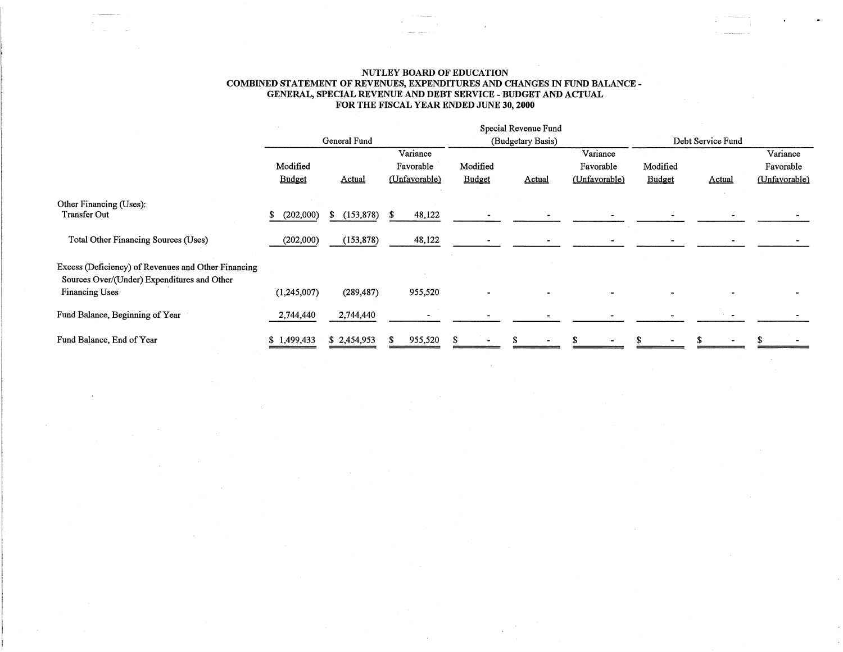#### NUTLEY BOARD OF EDUcATION COMBINED STATEMENT OF REVENUES, EXPENDITURES AND CHANGES IN FUND BALANCE - GENERAL, SPECIAL REVENUE AND DEBT SERVICE - BUDGET AND ACTUAL FOR THE FISCAL YEAR ENDED JUNE 30, 2000

 $\sim$ 

|                                                                                                    |                           |                 |                            |                    | Special Revenue Fund |                            |                    |               |                            |
|----------------------------------------------------------------------------------------------------|---------------------------|-----------------|----------------------------|--------------------|----------------------|----------------------------|--------------------|---------------|----------------------------|
|                                                                                                    |                           | General Fund    |                            | (Budgetary Basis)  |                      |                            | Debt Service Fund  |               |                            |
|                                                                                                    |                           |                 | Variance                   |                    |                      | Variance                   |                    |               | Variance                   |
|                                                                                                    | Modified<br><b>Budget</b> | <b>Actual</b>   | Favorable<br>(Unfavorable) | Modified<br>Budget | <b>Actual</b>        | Favorable<br>(Unfavorable) | Modified<br>Budget | <b>Actual</b> | Favorable<br>(Unfavorable) |
| Other Financing (Uses):                                                                            |                           |                 |                            |                    |                      |                            |                    |               |                            |
| Transfer Out                                                                                       | (202,000)<br>\$           | (153, 878)<br>S | 48,122<br>S                |                    |                      |                            |                    |               |                            |
| Total Other Financing Sources (Uses)                                                               | (202,000)                 | (153, 878)      | 48,122                     |                    |                      |                            |                    |               |                            |
| Excess (Deficiency) of Revenues and Other Financing<br>Sources Over/(Under) Expenditures and Other |                           |                 |                            |                    |                      |                            |                    |               |                            |
| <b>Financing Uses</b>                                                                              | (1,245,007)               | (289, 487)      | 955,520                    |                    |                      |                            |                    |               |                            |
| Fund Balance, Beginning of Year                                                                    | 2,744,440                 | 2,744,440       |                            |                    |                      |                            |                    |               |                            |
| Fund Balance, End of Year                                                                          | 1.499.433                 | \$2,454,953     | 955,520                    |                    |                      |                            |                    |               |                            |